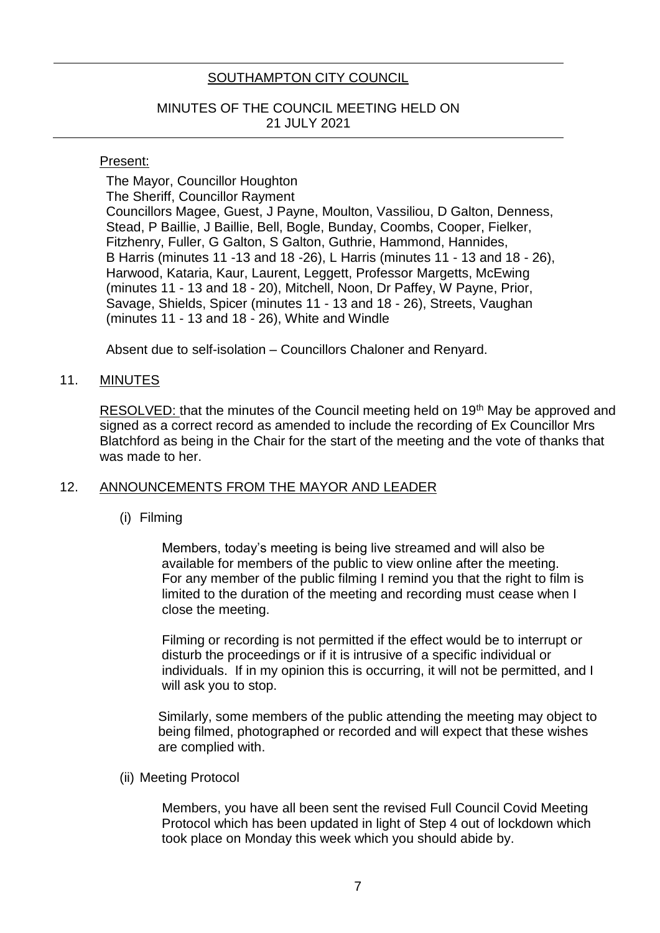# SOUTHAMPTON CITY COUNCIL

## MINUTES OF THE COUNCIL MEETING HELD ON 21 JULY 2021

#### Present:

The Mayor, Councillor Houghton The Sheriff, Councillor Rayment Councillors Magee, Guest, J Payne, Moulton, Vassiliou, D Galton, Denness, Stead, P Baillie, J Baillie, Bell, Bogle, Bunday, Coombs, Cooper, Fielker, Fitzhenry, Fuller, G Galton, S Galton, Guthrie, Hammond, Hannides, B Harris (minutes 11 -13 and 18 -26), L Harris (minutes 11 - 13 and 18 - 26), Harwood, Kataria, Kaur, Laurent, Leggett, Professor Margetts, McEwing (minutes 11 - 13 and 18 - 20), Mitchell, Noon, Dr Paffey, W Payne, Prior, Savage, Shields, Spicer (minutes 11 - 13 and 18 - 26), Streets, Vaughan (minutes 11 - 13 and 18 - 26), White and Windle

Absent due to self-isolation – Councillors Chaloner and Renyard.

### 11. **MINUTES**

RESOLVED: that the minutes of the Council meeting held on 19<sup>th</sup> May be approved and signed as a correct record as amended to include the recording of Ex Councillor Mrs Blatchford as being in the Chair for the start of the meeting and the vote of thanks that was made to her.

## 12. ANNOUNCEMENTS FROM THE MAYOR AND LEADER

(i) Filming

 Members, today's meeting is being live streamed and will also be available for members of the public to view online after the meeting. For any member of the public filming I remind you that the right to film is limited to the duration of the meeting and recording must cease when I close the meeting.

 Filming or recording is not permitted if the effect would be to interrupt or disturb the proceedings or if it is intrusive of a specific individual or individuals. If in my opinion this is occurring, it will not be permitted, and I will ask you to stop.

 Similarly, some members of the public attending the meeting may object to being filmed, photographed or recorded and will expect that these wishes are complied with.

(ii) Meeting Protocol

 Members, you have all been sent the revised Full Council Covid Meeting Protocol which has been updated in light of Step 4 out of lockdown which took place on Monday this week which you should abide by.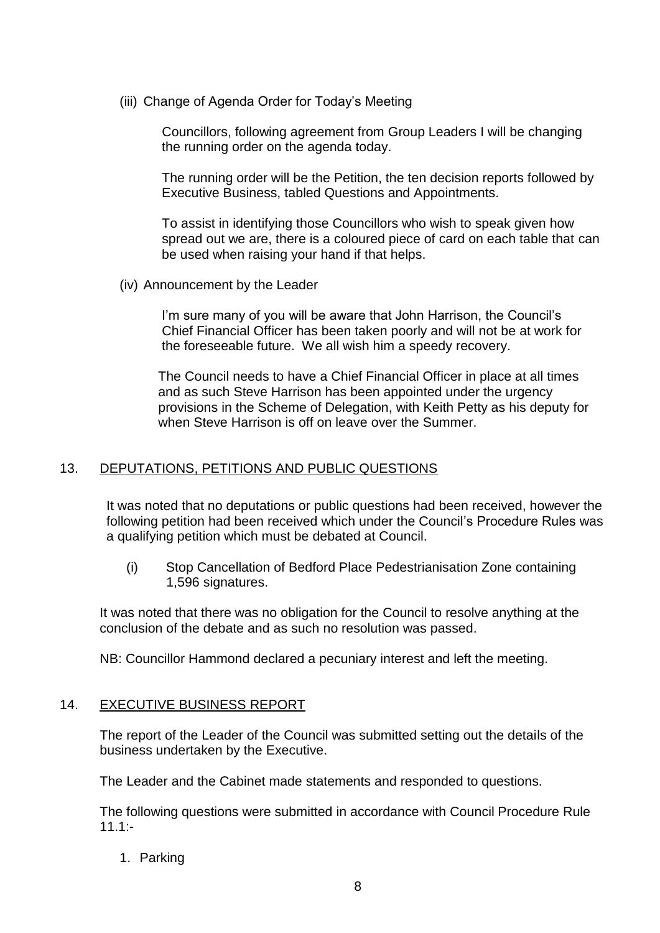(iii) Change of Agenda Order for Today's Meeting

 Councillors, following agreement from Group Leaders I will be changing the running order on the agenda today.

 The running order will be the Petition, the ten decision reports followed by Executive Business, tabled Questions and Appointments.

 To assist in identifying those Councillors who wish to speak given how spread out we are, there is a coloured piece of card on each table that can be used when raising your hand if that helps.

(iv) Announcement by the Leader

 I'm sure many of you will be aware that John Harrison, the Council's Chief Financial Officer has been taken poorly and will not be at work for the foreseeable future. We all wish him a speedy recovery.

 The Council needs to have a Chief Financial Officer in place at all times and as such Steve Harrison has been appointed under the urgency provisions in the Scheme of Delegation, with Keith Petty as his deputy for when Steve Harrison is off on leave over the Summer.

## 13. DEPUTATIONS, PETITIONS AND PUBLIC QUESTIONS

It was noted that no deputations or public questions had been received, however the following petition had been received which under the Council's Procedure Rules was a qualifying petition which must be debated at Council.

(i) Stop Cancellation of Bedford Place Pedestrianisation Zone containing 1,596 signatures.

It was noted that there was no obligation for the Council to resolve anything at the conclusion of the debate and as such no resolution was passed.

NB: Councillor Hammond declared a pecuniary interest and left the meeting.

## 14. EXECUTIVE BUSINESS REPORT

The report of the Leader of the Council was submitted setting out the details of the business undertaken by the Executive.

The Leader and the Cabinet made statements and responded to questions.

The following questions were submitted in accordance with Council Procedure Rule  $11.1:$ 

1. Parking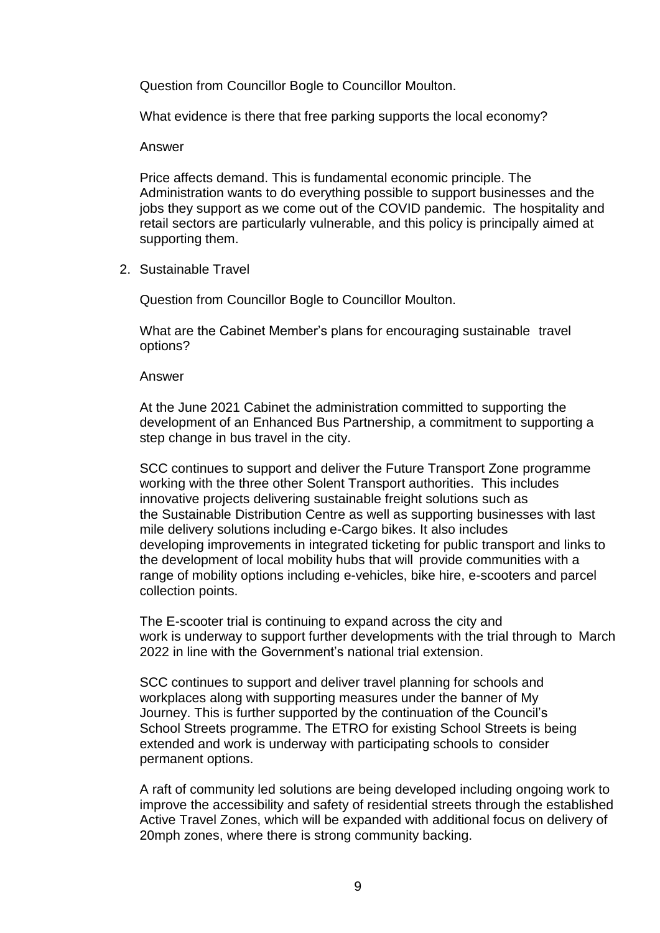Question from Councillor Bogle to Councillor Moulton.

What evidence is there that free parking supports the local economy?

#### Answer

Price affects demand. This is fundamental economic principle. The Administration wants to do everything possible to support businesses and the jobs they support as we come out of the COVID pandemic. The hospitality and retail sectors are particularly vulnerable, and this policy is principally aimed at supporting them.

2. Sustainable Travel

Question from Councillor Bogle to Councillor Moulton.

What are the Cabinet Member's plans for encouraging sustainable travel options?

#### Answer

At the June 2021 Cabinet the administration committed to supporting the development of an Enhanced Bus Partnership, a commitment to supporting a step change in bus travel in the city.

SCC continues to support and deliver the Future Transport Zone programme working with the three other Solent Transport authorities. This includes innovative projects delivering sustainable freight solutions such as the Sustainable Distribution Centre as well as supporting businesses with last mile delivery solutions including e-Cargo bikes. It also includes developing improvements in integrated ticketing for public transport and links to the development of local mobility hubs that will provide communities with a range of mobility options including e-vehicles, bike hire, e-scooters and parcel collection points.

The E-scooter trial is continuing to expand across the city and work is underway to support further developments with the trial through to March 2022 in line with the Government's national trial extension.

SCC continues to support and deliver travel planning for schools and workplaces along with supporting measures under the banner of My Journey. This is further supported by the continuation of the Council's School Streets programme. The ETRO for existing School Streets is being extended and work is underway with participating schools to consider permanent options.

A raft of community led solutions are being developed including ongoing work to improve the accessibility and safety of residential streets through the established Active Travel Zones, which will be expanded with additional focus on delivery of 20mph zones, where there is strong community backing.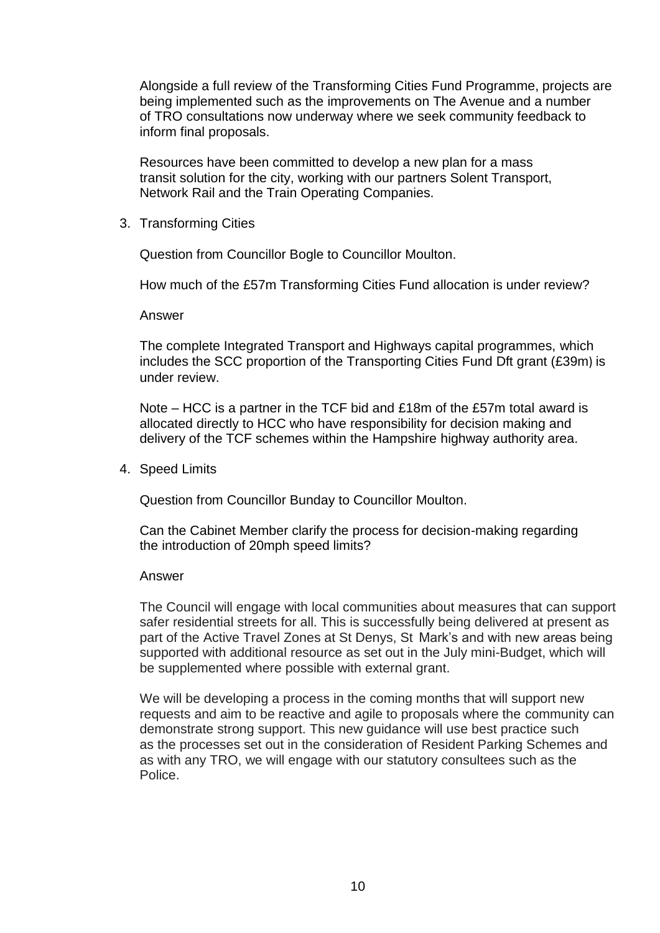Alongside a full review of the Transforming Cities Fund Programme, projects are being implemented such as the improvements on The Avenue and a number of TRO consultations now underway where we seek community feedback to inform final proposals.

Resources have been committed to develop a new plan for a mass transit solution for the city, working with our partners Solent Transport, Network Rail and the Train Operating Companies.

3. Transforming Cities

Question from Councillor Bogle to Councillor Moulton.

How much of the £57m Transforming Cities Fund allocation is under review?

Answer

The complete Integrated Transport and Highways capital programmes, which includes the SCC proportion of the Transporting Cities Fund Dft grant (£39m) is under review.

Note – HCC is a partner in the TCF bid and £18m of the £57m total award is allocated directly to HCC who have responsibility for decision making and delivery of the TCF schemes within the Hampshire highway authority area.

4. Speed Limits

Question from Councillor Bunday to Councillor Moulton.

Can the Cabinet Member clarify the process for decision-making regarding the introduction of 20mph speed limits?

#### Answer

The Council will engage with local communities about measures that can support safer residential streets for all. This is successfully being delivered at present as part of the Active Travel Zones at St Denys, St Mark's and with new areas being supported with additional resource as set out in the July mini-Budget, which will be supplemented where possible with external grant.

We will be developing a process in the coming months that will support new requests and aim to be reactive and agile to proposals where the community can demonstrate strong support. This new guidance will use best practice such as the processes set out in the consideration of Resident Parking Schemes and as with any TRO, we will engage with our statutory consultees such as the Police.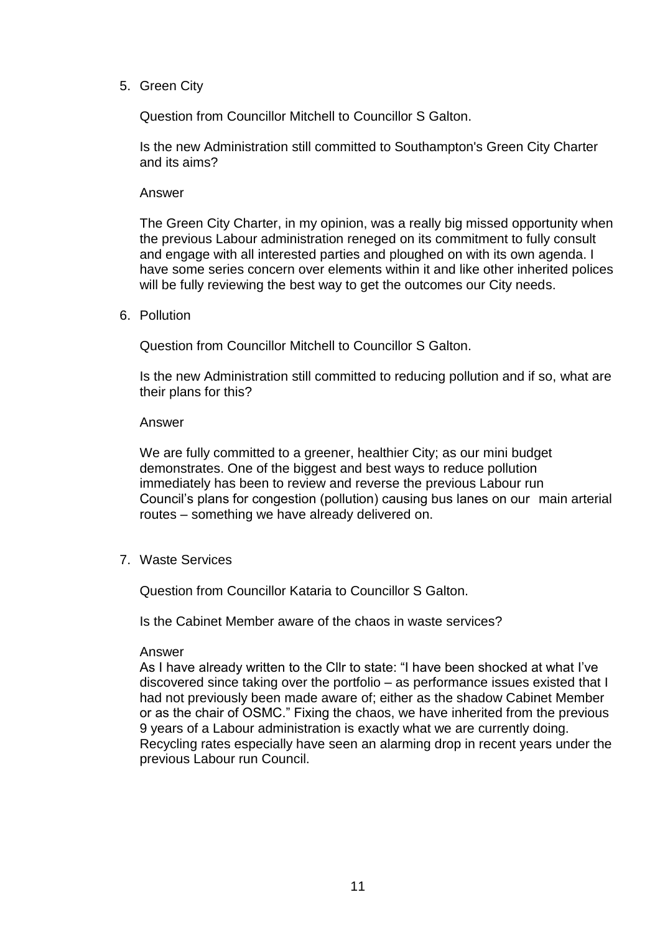5. Green City

Question from Councillor Mitchell to Councillor S Galton.

Is the new Administration still committed to Southampton's Green City Charter and its aims?

#### Answer

The Green City Charter, in my opinion, was a really big missed opportunity when the previous Labour administration reneged on its commitment to fully consult and engage with all interested parties and ploughed on with its own agenda. I have some series concern over elements within it and like other inherited polices will be fully reviewing the best way to get the outcomes our City needs.

6. Pollution

Question from Councillor Mitchell to Councillor S Galton.

Is the new Administration still committed to reducing pollution and if so, what are their plans for this?

#### Answer

We are fully committed to a greener, healthier City; as our mini budget demonstrates. One of the biggest and best ways to reduce pollution immediately has been to review and reverse the previous Labour run Council's plans for congestion (pollution) causing bus lanes on our main arterial routes – something we have already delivered on.

7. Waste Services

Question from Councillor Kataria to Councillor S Galton.

Is the Cabinet Member aware of the chaos in waste services?

#### Answer

As I have already written to the Cllr to state: "I have been shocked at what I've discovered since taking over the portfolio – as performance issues existed that I had not previously been made aware of; either as the shadow Cabinet Member or as the chair of OSMC." Fixing the chaos, we have inherited from the previous 9 years of a Labour administration is exactly what we are currently doing. Recycling rates especially have seen an alarming drop in recent years under the previous Labour run Council.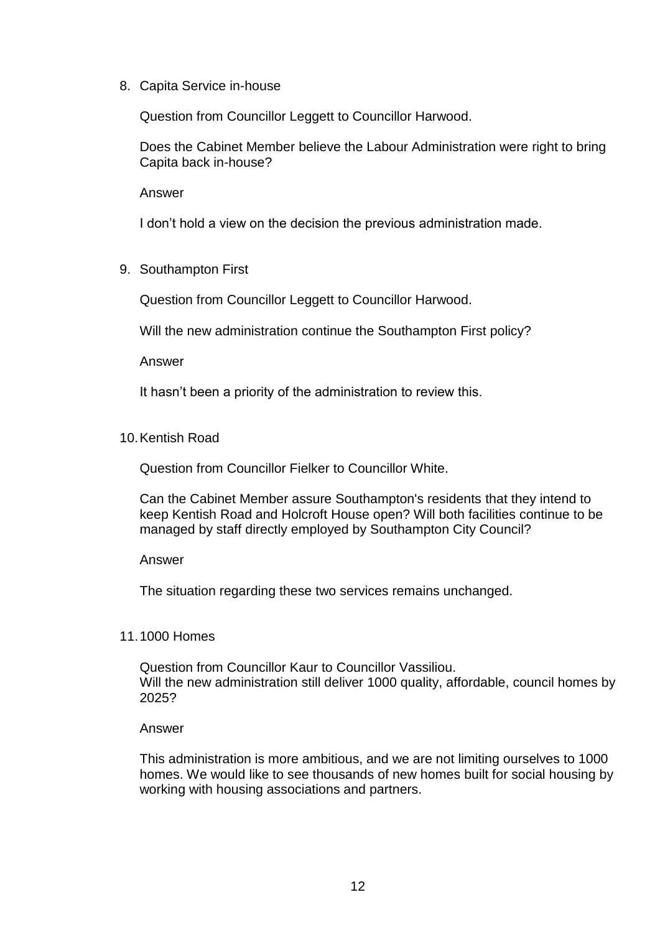8. Capita Service in-house

Question from Councillor Leggett to Councillor Harwood.

Does the Cabinet Member believe the Labour Administration were right to bring Capita back in-house?

Answer

I don't hold a view on the decision the previous administration made.

9. Southampton First

Question from Councillor Leggett to Councillor Harwood.

Will the new administration continue the Southampton First policy?

Answer

It hasn't been a priority of the administration to review this.

10.Kentish Road

Question from Councillor Fielker to Councillor White.

Can the Cabinet Member assure Southampton's residents that they intend to keep Kentish Road and Holcroft House open? Will both facilities continue to be managed by staff directly employed by Southampton City Council?

#### Answer

The situation regarding these two services remains unchanged.

#### 11.1000 Homes

Question from Councillor Kaur to Councillor Vassiliou. Will the new administration still deliver 1000 quality, affordable, council homes by 2025?

#### Answer

This administration is more ambitious, and we are not limiting ourselves to 1000 homes. We would like to see thousands of new homes built for social housing by working with housing associations and partners.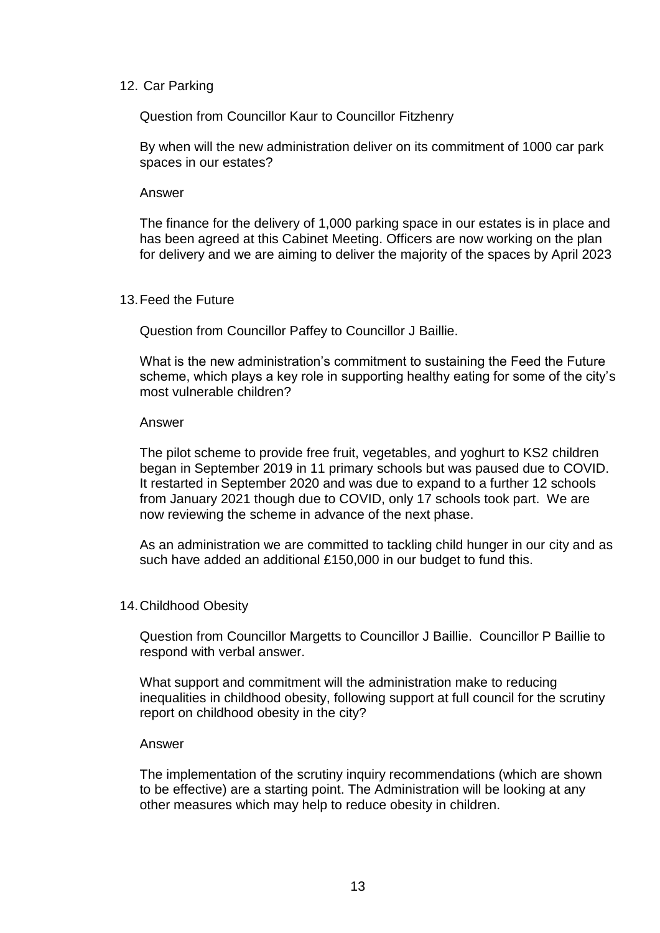### 12. Car Parking

Question from Councillor Kaur to Councillor Fitzhenry

By when will the new administration deliver on its commitment of 1000 car park spaces in our estates?

#### Answer

The finance for the delivery of 1,000 parking space in our estates is in place and has been agreed at this Cabinet Meeting. Officers are now working on the plan for delivery and we are aiming to deliver the majority of the spaces by April 2023

### 13.Feed the Future

Question from Councillor Paffey to Councillor J Baillie.

What is the new administration's commitment to sustaining the Feed the Future scheme, which plays a key role in supporting healthy eating for some of the city's most vulnerable children?

### Answer

The pilot scheme to provide free fruit, vegetables, and yoghurt to KS2 children began in September 2019 in 11 primary schools but was paused due to COVID. It restarted in September 2020 and was due to expand to a further 12 schools from January 2021 though due to COVID, only 17 schools took part. We are now reviewing the scheme in advance of the next phase.

As an administration we are committed to tackling child hunger in our city and as such have added an additional £150,000 in our budget to fund this.

## 14.Childhood Obesity

Question from Councillor Margetts to Councillor J Baillie. Councillor P Baillie to respond with verbal answer.

What support and commitment will the administration make to reducing inequalities in childhood obesity, following support at full council for the scrutiny report on childhood obesity in the city?

#### Answer

The implementation of the scrutiny inquiry recommendations (which are shown to be effective) are a starting point. The Administration will be looking at any other measures which may help to reduce obesity in children.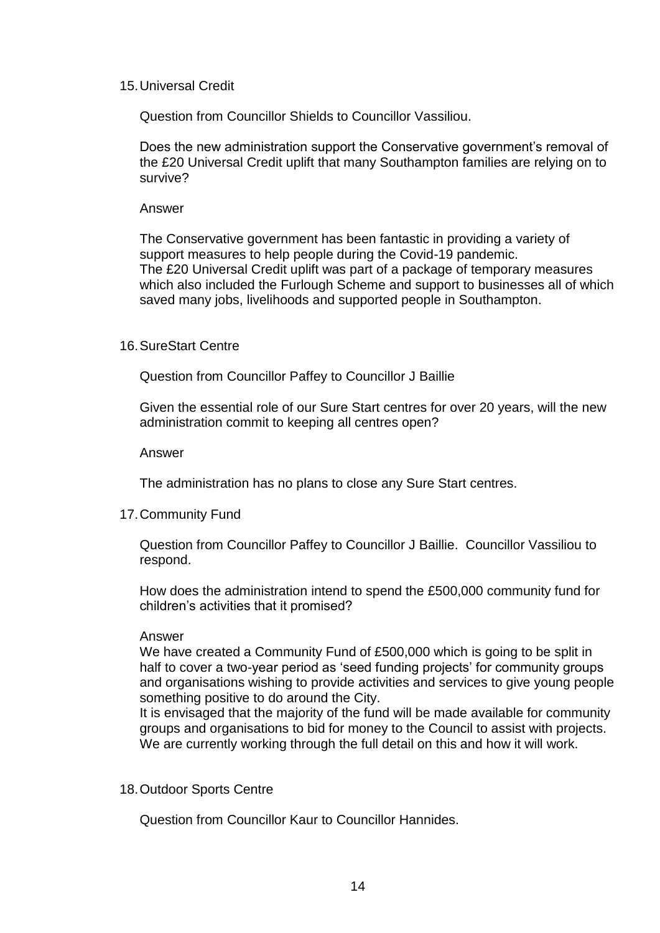### 15.Universal Credit

Question from Councillor Shields to Councillor Vassiliou.

Does the new administration support the Conservative government's removal of the £20 Universal Credit uplift that many Southampton families are relying on to survive?

### Answer

The Conservative government has been fantastic in providing a variety of support measures to help people during the Covid-19 pandemic. The £20 Universal Credit uplift was part of a package of temporary measures which also included the Furlough Scheme and support to businesses all of which saved many jobs, livelihoods and supported people in Southampton.

### 16.SureStart Centre

Question from Councillor Paffey to Councillor J Baillie

Given the essential role of our Sure Start centres for over 20 years, will the new administration commit to keeping all centres open?

Answer

The administration has no plans to close any Sure Start centres.

## 17.Community Fund

Question from Councillor Paffey to Councillor J Baillie. Councillor Vassiliou to respond.

How does the administration intend to spend the £500,000 community fund for children's activities that it promised?

#### Answer

We have created a Community Fund of £500,000 which is going to be split in half to cover a two-year period as 'seed funding projects' for community groups and organisations wishing to provide activities and services to give young people something positive to do around the City.

It is envisaged that the majority of the fund will be made available for community groups and organisations to bid for money to the Council to assist with projects. We are currently working through the full detail on this and how it will work.

## 18.Outdoor Sports Centre

Question from Councillor Kaur to Councillor Hannides.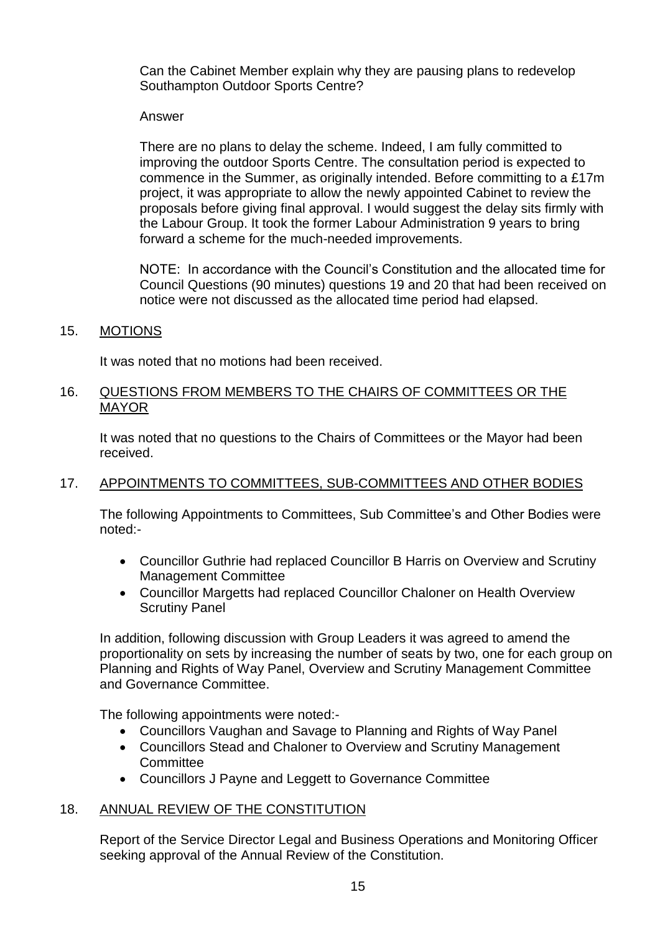Can the Cabinet Member explain why they are pausing plans to redevelop Southampton Outdoor Sports Centre?

## Answer

There are no plans to delay the scheme. Indeed, I am fully committed to improving the outdoor Sports Centre. The consultation period is expected to commence in the Summer, as originally intended. Before committing to a £17m project, it was appropriate to allow the newly appointed Cabinet to review the proposals before giving final approval. I would suggest the delay sits firmly with the Labour Group. It took the former Labour Administration 9 years to bring forward a scheme for the much-needed improvements.

NOTE: In accordance with the Council's Constitution and the allocated time for Council Questions (90 minutes) questions 19 and 20 that had been received on notice were not discussed as the allocated time period had elapsed.

### 15. MOTIONS

It was noted that no motions had been received.

### 16. QUESTIONS FROM MEMBERS TO THE CHAIRS OF COMMITTEES OR THE MAYOR

It was noted that no questions to the Chairs of Committees or the Mayor had been received.

## 17. APPOINTMENTS TO COMMITTEES, SUB-COMMITTEES AND OTHER BODIES

The following Appointments to Committees, Sub Committee's and Other Bodies were noted:-

- Councillor Guthrie had replaced Councillor B Harris on Overview and Scrutiny Management Committee
- Councillor Margetts had replaced Councillor Chaloner on Health Overview Scrutiny Panel

In addition, following discussion with Group Leaders it was agreed to amend the proportionality on sets by increasing the number of seats by two, one for each group on Planning and Rights of Way Panel, Overview and Scrutiny Management Committee and Governance Committee.

The following appointments were noted:-

- Councillors Vaughan and Savage to Planning and Rights of Way Panel
- Councillors Stead and Chaloner to Overview and Scrutiny Management **Committee**
- Councillors J Payne and Leggett to Governance Committee

## 18. ANNUAL REVIEW OF THE CONSTITUTION

Report of the Service Director Legal and Business Operations and Monitoring Officer seeking approval of the Annual Review of the Constitution.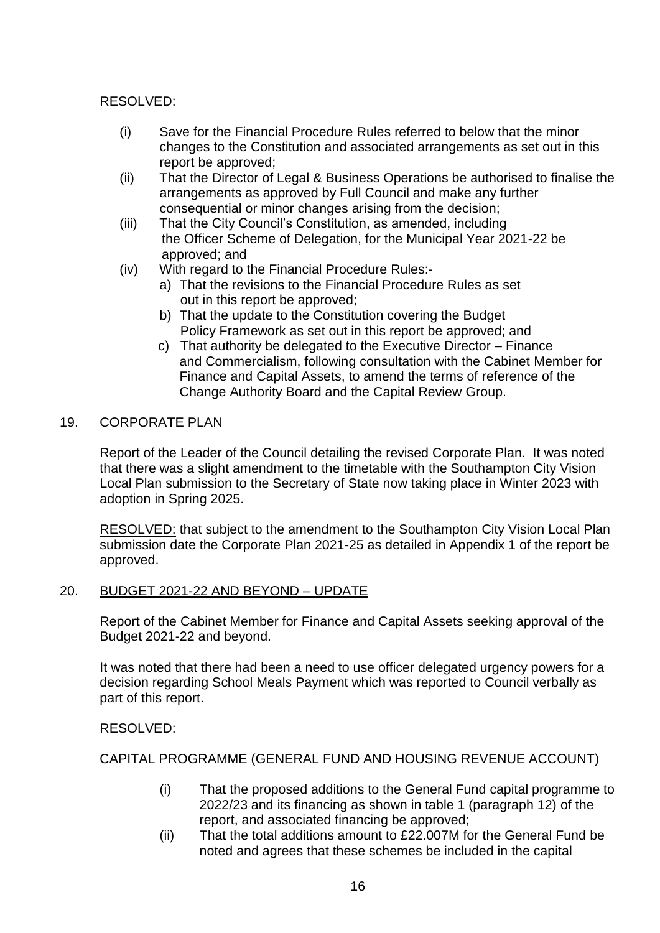# RESOLVED:

- (i) Save for the Financial Procedure Rules referred to below that the minor changes to the Constitution and associated arrangements as set out in this report be approved;
- (ii) That the Director of Legal & Business Operations be authorised to finalise the arrangements as approved by Full Council and make any further consequential or minor changes arising from the decision;
- (iii) That the City Council's Constitution, as amended, including the Officer Scheme of Delegation, for the Municipal Year 2021-22 be approved; and
- (iv) With regard to the Financial Procedure Rules:
	- a) That the revisions to the Financial Procedure Rules as set out in this report be approved;
	- b) That the update to the Constitution covering the Budget Policy Framework as set out in this report be approved; and
	- c) That authority be delegated to the Executive Director Finance and Commercialism, following consultation with the Cabinet Member for Finance and Capital Assets, to amend the terms of reference of the Change Authority Board and the Capital Review Group.

# 19. CORPORATE PLAN

Report of the Leader of the Council detailing the revised Corporate Plan. It was noted that there was a slight amendment to the timetable with the Southampton City Vision Local Plan submission to the Secretary of State now taking place in Winter 2023 with adoption in Spring 2025.

RESOLVED: that subject to the amendment to the Southampton City Vision Local Plan submission date the Corporate Plan 2021-25 as detailed in Appendix 1 of the report be approved.

## 20. BUDGET 2021-22 AND BEYOND – UPDATE

Report of the Cabinet Member for Finance and Capital Assets seeking approval of the Budget 2021-22 and beyond.

It was noted that there had been a need to use officer delegated urgency powers for a decision regarding School Meals Payment which was reported to Council verbally as part of this report.

# RESOLVED:

CAPITAL PROGRAMME (GENERAL FUND AND HOUSING REVENUE ACCOUNT)

- (i) That the proposed additions to the General Fund capital programme to 2022/23 and its financing as shown in table 1 (paragraph 12) of the report, and associated financing be approved;
- (ii) That the total additions amount to £22.007M for the General Fund be noted and agrees that these schemes be included in the capital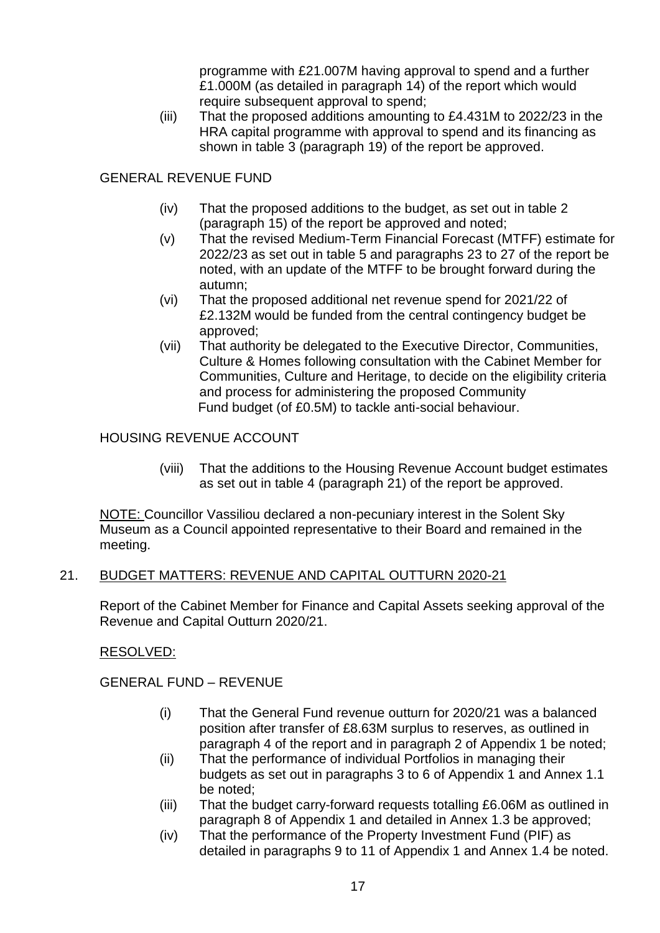programme with £21.007M having approval to spend and a further £1.000M (as detailed in paragraph 14) of the report which would require subsequent approval to spend;

(iii) That the proposed additions amounting to £4.431M to 2022/23 in the HRA capital programme with approval to spend and its financing as shown in table 3 (paragraph 19) of the report be approved.

# GENERAL REVENUE FUND

- (iv) That the proposed additions to the budget, as set out in table 2 (paragraph 15) of the report be approved and noted;
- (v) That the revised Medium-Term Financial Forecast (MTFF) estimate for 2022/23 as set out in table 5 and paragraphs 23 to 27 of the report be noted, with an update of the MTFF to be brought forward during the autumn;
- (vi) That the proposed additional net revenue spend for 2021/22 of £2.132M would be funded from the central contingency budget be approved;
- (vii) That authority be delegated to the Executive Director, Communities, Culture & Homes following consultation with the Cabinet Member for Communities, Culture and Heritage, to decide on the eligibility criteria and process for administering the proposed Community Fund budget (of £0.5M) to tackle anti-social behaviour.

# HOUSING REVENUE ACCOUNT

(viii) That the additions to the Housing Revenue Account budget estimates as set out in table 4 (paragraph 21) of the report be approved.

NOTE: Councillor Vassiliou declared a non-pecuniary interest in the Solent Sky Museum as a Council appointed representative to their Board and remained in the meeting.

# 21. BUDGET MATTERS: REVENUE AND CAPITAL OUTTURN 2020-21

Report of the Cabinet Member for Finance and Capital Assets seeking approval of the Revenue and Capital Outturn 2020/21.

# RESOLVED:

# GENERAL FUND – REVENUE

- (i) That the General Fund revenue outturn for 2020/21 was a balanced position after transfer of £8.63M surplus to reserves, as outlined in paragraph 4 of the report and in paragraph 2 of Appendix 1 be noted;
- (ii) That the performance of individual Portfolios in managing their budgets as set out in paragraphs 3 to 6 of Appendix 1 and Annex 1.1 be noted;
- (iii) That the budget carry-forward requests totalling £6.06M as outlined in paragraph 8 of Appendix 1 and detailed in Annex 1.3 be approved;
- (iv) That the performance of the Property Investment Fund (PIF) as detailed in paragraphs 9 to 11 of Appendix 1 and Annex 1.4 be noted.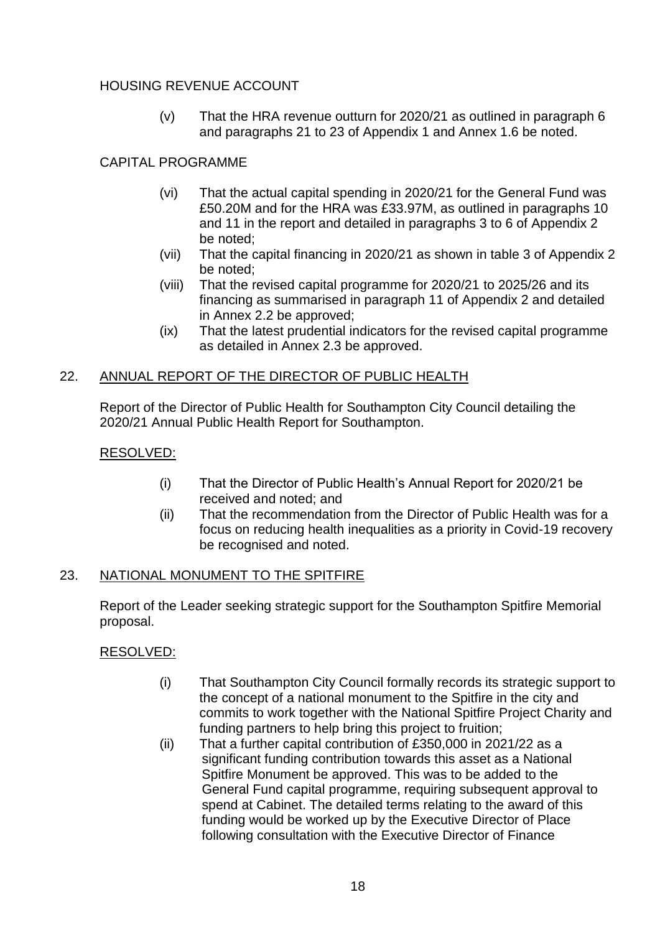# HOUSING REVENUE ACCOUNT

(v) That the HRA revenue outturn for 2020/21 as outlined in paragraph 6 and paragraphs 21 to 23 of Appendix 1 and Annex 1.6 be noted.

# CAPITAL PROGRAMME

- (vi) That the actual capital spending in 2020/21 for the General Fund was £50.20M and for the HRA was £33.97M, as outlined in paragraphs 10 and 11 in the report and detailed in paragraphs 3 to 6 of Appendix 2 be noted;
- (vii) That the capital financing in 2020/21 as shown in table 3 of Appendix 2 be noted;
- (viii) That the revised capital programme for 2020/21 to 2025/26 and its financing as summarised in paragraph 11 of Appendix 2 and detailed in Annex 2.2 be approved;
- (ix) That the latest prudential indicators for the revised capital programme as detailed in Annex 2.3 be approved.

## 22. ANNUAL REPORT OF THE DIRECTOR OF PUBLIC HEALTH

Report of the Director of Public Health for Southampton City Council detailing the 2020/21 Annual Public Health Report for Southampton.

## RESOLVED:

- (i) That the Director of Public Health's Annual Report for 2020/21 be received and noted; and
- (ii) That the recommendation from the Director of Public Health was for a focus on reducing health inequalities as a priority in Covid-19 recovery be recognised and noted.

## 23. NATIONAL MONUMENT TO THE SPITFIRE

Report of the Leader seeking strategic support for the Southampton Spitfire Memorial proposal.

## RESOLVED:

- (i) That Southampton City Council formally records its strategic support to the concept of a national monument to the Spitfire in the city and commits to work together with the National Spitfire Project Charity and funding partners to help bring this project to fruition;
- (ii) That a further capital contribution of £350,000 in 2021/22 as a significant funding contribution towards this asset as a National Spitfire Monument be approved. This was to be added to the General Fund capital programme, requiring subsequent approval to spend at Cabinet. The detailed terms relating to the award of this funding would be worked up by the Executive Director of Place following consultation with the Executive Director of Finance